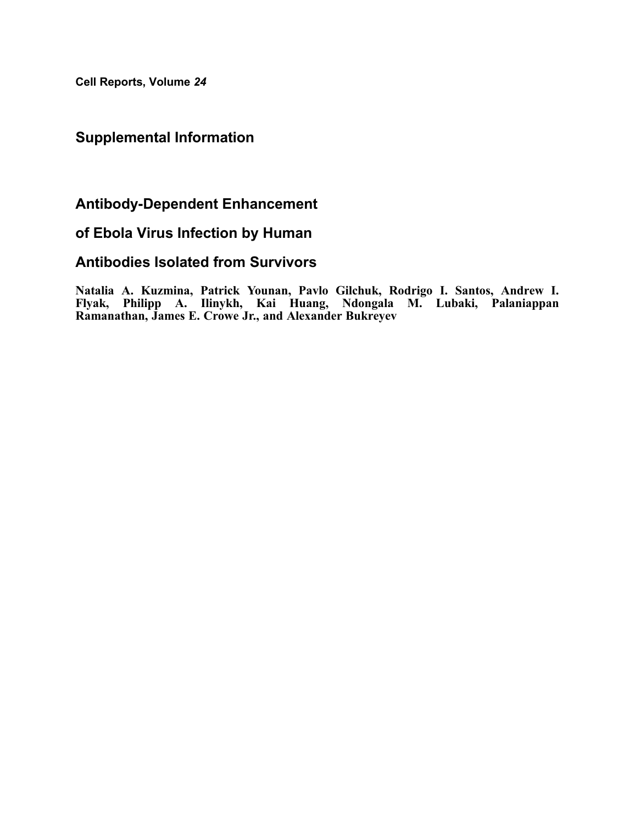Cell Reports, Volume 24

## Supplemental Information

## Antibody-Dependent Enhancement

## of Ebola Virus Infection by Human

## Antibodies Isolated from Survivors

Natalia A. Kuzmina, Patrick Younan, Pavlo Gilchuk, Rodrigo I. Santos, Andrew I. Flyak, Philipp A. Ilinykh, Kai Huang, Ndongala M. Lubaki, Palaniappan Ramanathan, James E. Crowe Jr., and Alexander Bukreyev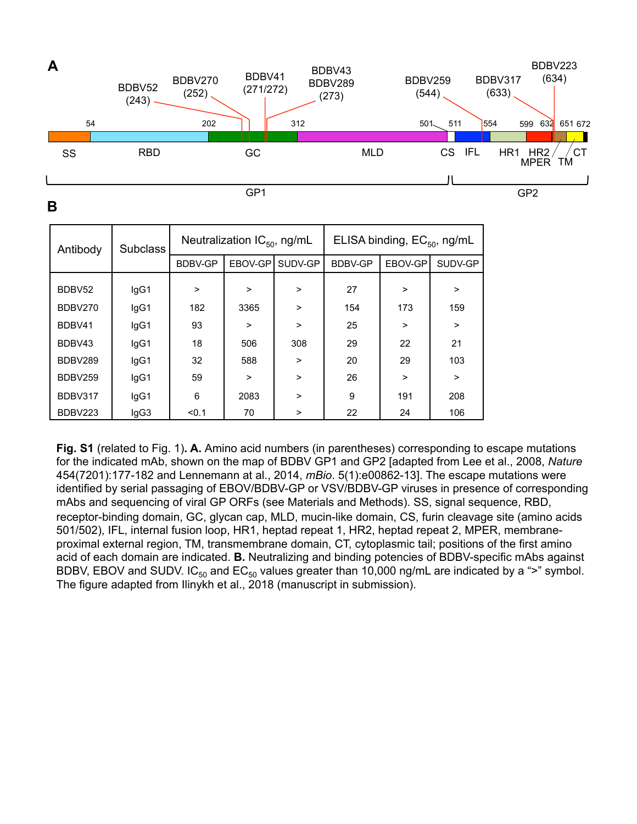

**B** 

| Antibody | <b>Subclass</b> | Neutralization $IC_{50}$ , ng/mL |         |         | ELISA binding, EC <sub>50</sub> , ng/mL |         |         |
|----------|-----------------|----------------------------------|---------|---------|-----------------------------------------|---------|---------|
|          |                 | <b>BDBV-GP</b>                   | EBOV-GP | SUDV-GP | BDBV-GP                                 | EBOV-GP | SUDV-GP |
| BDBV52   | IgG1            | $\geq$                           | >       | $\geq$  | 27                                      | $\geq$  | >       |
| BDBV270  | IgG1            | 182                              | 3365    | $\geq$  | 154                                     | 173     | 159     |
| BDBV41   | lgG1            | 93                               | >       | $\geq$  | 25                                      | $\geq$  | $\geq$  |
| BDBV43   | IgG1            | 18                               | 506     | 308     | 29                                      | 22      | 21      |
| BDBV289  | lgG1            | 32                               | 588     | $\geq$  | 20                                      | 29      | 103     |
| BDBV259  | lgG1            | 59                               | >       | $\geq$  | 26                                      | $\geq$  | $\geq$  |
| BDBV317  | IgG1            | 6                                | 2083    | $\geq$  | 9                                       | 191     | 208     |
| BDBV223  | IgG3            | < 0.1                            | 70      | >       | 22                                      | 24      | 106     |

**Fig. S1** (related to Fig. 1)**. A.** Amino acid numbers (in parentheses) corresponding to escape mutations for the indicated mAb, shown on the map of BDBV GP1 and GP2 [adapted from Lee et al., 2008, *Nature* 454(7201):177-182 and Lennemann at al., 2014, *mBio*. 5(1):e00862-13]. The escape mutations were identified by serial passaging of EBOV/BDBV-GP or VSV/BDBV-GP viruses in presence of corresponding mAbs and sequencing of viral GP ORFs (see Materials and Methods). SS, signal sequence, RBD, receptor-binding domain, GC, glycan cap, MLD, mucin-like domain, CS, furin cleavage site (amino acids 501/502), IFL, internal fusion loop, HR1, heptad repeat 1, HR2, heptad repeat 2, MPER, membraneproximal external region, TM, transmembrane domain, CT, cytoplasmic tail; positions of the first amino acid of each domain are indicated. **B.** Neutralizing and binding potencies of BDBV-specific mAbs against BDBV, EBOV and SUDV. IC<sub>50</sub> and EC<sub>50</sub> values greater than 10,000 ng/mL are indicated by a ">" symbol. The figure adapted from Ilinykh et al., 2018 (manuscript in submission).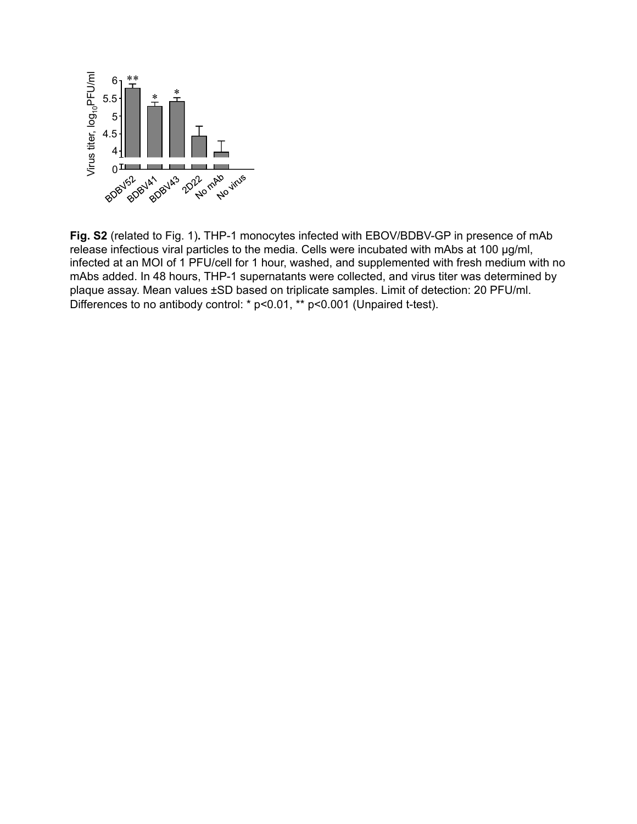

**Fig. S2** (related to Fig. 1)**.** THP-1 monocytes infected with EBOV/BDBV-GP in presence of mAb release infectious viral particles to the media. Cells were incubated with mAbs at 100 µg/ml, infected at an MOI of 1 PFU/cell for 1 hour, washed, and supplemented with fresh medium with no mAbs added. In 48 hours, THP-1 supernatants were collected, and virus titer was determined by plaque assay. Mean values ±SD based on triplicate samples. Limit of detection: 20 PFU/ml. Differences to no antibody control: \* p<0.01, \*\* p<0.001 (Unpaired t-test).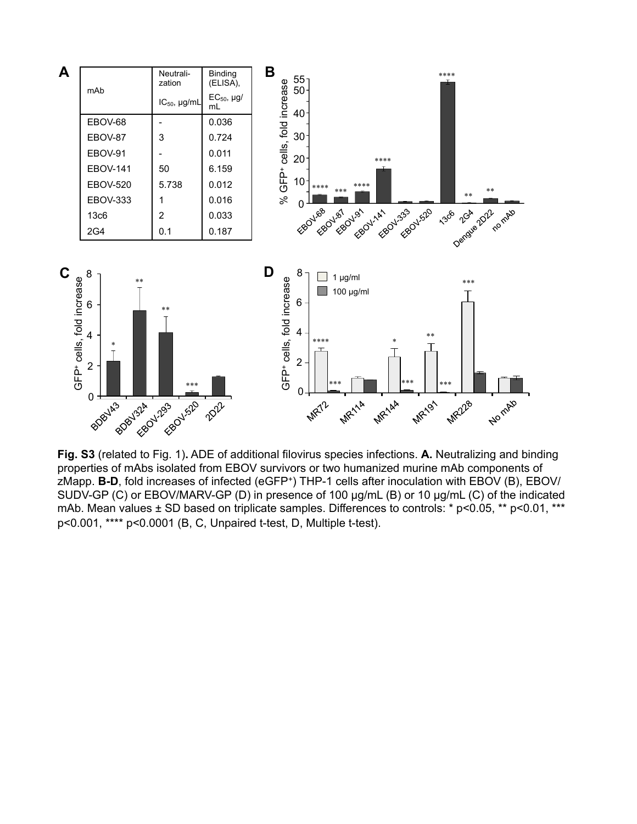

**Fig. S3** (related to Fig. 1)**.** ADE of additional filovirus species infections. **A.** Neutralizing and binding properties of mAbs isolated from EBOV survivors or two humanized murine mAb components of zMapp. **B-D**, fold increases of infected (eGFP+) THP-1 cells after inoculation with EBOV (B), EBOV/ SUDV-GP (C) or EBOV/MARV-GP (D) in presence of 100 µg/mL (B) or 10 µg/mL (C) of the indicated mAb. Mean values ± SD based on triplicate samples. Differences to controls: \* p<0.05, \*\* p<0.01, \*\*\* p<0.001, \*\*\*\* p<0.0001 (B, C, Unpaired t-test, D, Multiple t-test).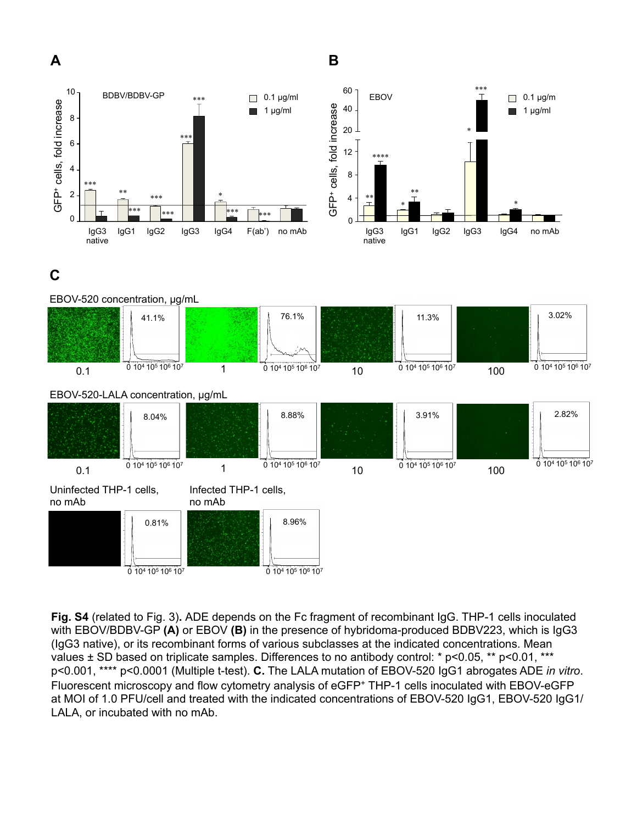



**Fig. S4** (related to Fig. 3)**.** ADE depends on the Fc fragment of recombinant IgG. THP-1 cells inoculated with EBOV/BDBV-GP **(A)** or EBOV **(B)** in the presence of hybridoma-produced BDBV223, which is IgG3 (IgG3 native), or its recombinant forms of various subclasses at the indicated concentrations. Mean values ± SD based on triplicate samples. Differences to no antibody control: \* p<0.05, \*\* p<0.01, \*\*\* p<0.001, \*\*\*\* p<0.0001 (Multiple t-test). **C.** The LALA mutation of EBOV-520 IgG1 abrogates ADE *in vitro*. Fluorescent microscopy and flow cytometry analysis of eGFP+ THP-1 cells inoculated with EBOV-eGFP at MOI of 1.0 PFU/cell and treated with the indicated concentrations of EBOV-520 IgG1, EBOV-520 IgG1/ LALA, or incubated with no mAb.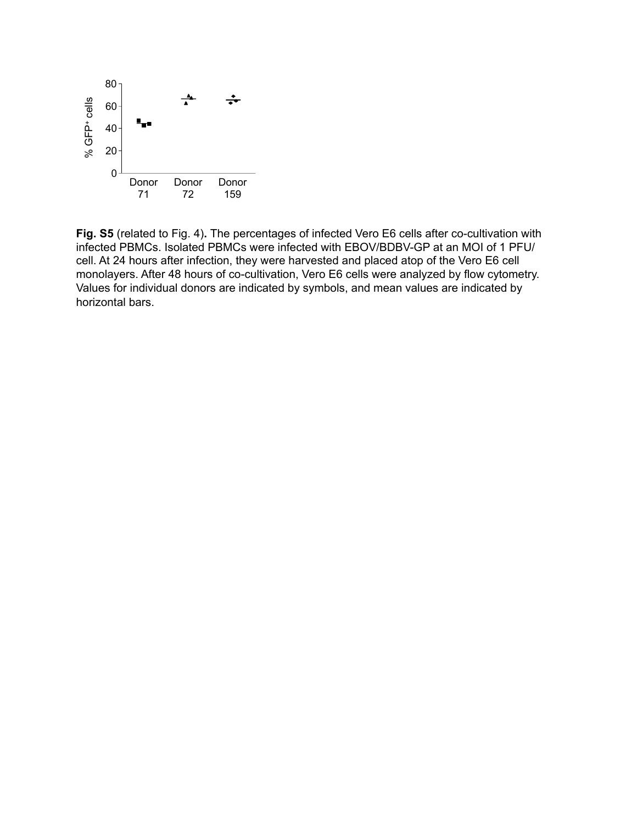

**Fig. S5** (related to Fig. 4)**.** The percentages of infected Vero E6 cells after co-cultivation with infected PBMCs. Isolated PBMCs were infected with EBOV/BDBV-GP at an MOI of 1 PFU/ cell. At 24 hours after infection, they were harvested and placed atop of the Vero E6 cell monolayers. After 48 hours of co-cultivation, Vero E6 cells were analyzed by flow cytometry. Values for individual donors are indicated by symbols, and mean values are indicated by